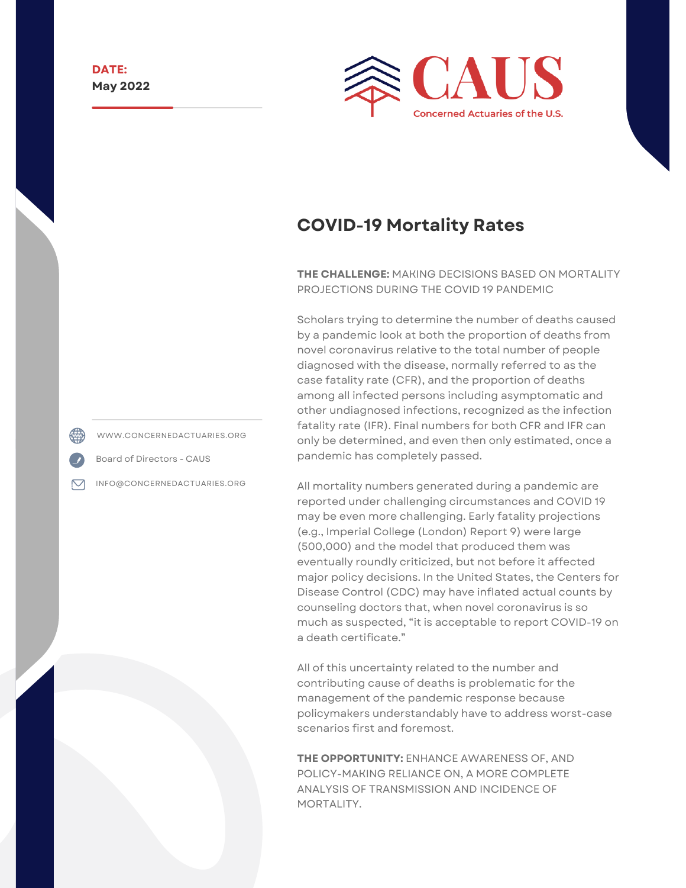

# **COVID-19 Mortality Rates**

**THE CHALLENGE:** MAKING DECISIONS BASED ON MORTALITY PROJECTIONS DURING THE COVID 19 PANDEMIC

Scholars trying to determine the number of deaths caused by a pandemic look at both the proportion of deaths from novel coronavirus relative to the total number of people diagnosed with the disease, normally referred to as the case fatality rate (CFR), and the proportion of deaths among all infected persons including asymptomatic and other undiagnosed infections, recognized as the infection fatality rate (IFR). Final numbers for both CFR and IFR can only be determined, and even then only estimated, once a pandemic has completely passed.

All mortality numbers generated during a pandemic are reported under challenging circumstances and COVID 19 may be even more challenging. Early fatality projections (e.g., Imperial College (London) Report 9) were large (500,000) and the model that produced them was eventually roundly criticized, but not before it affected major policy decisions. In the United States, the Centers for Disease Control (CDC) may have inflated actual counts by counseling doctors that, when novel coronavirus is so much as suspected, "it is acceptable to report COVID-19 on a death certificate."

All of this uncertainty related to the number and contributing cause of deaths is problematic for the management of the pandemic response because policymakers understandably have to address worst-case scenarios first and foremost.

**THE OPPORTUNITY:** ENHANCE AWARENESS OF, AND POLICY-MAKING RELIANCE ON, A MORE COMPLETE ANALYSIS OF TRANSMISSION AND INCIDENCE OF MORTALITY.

WWW.CONCERNEDACTUARIES.ORG

Board of Directors - CAUS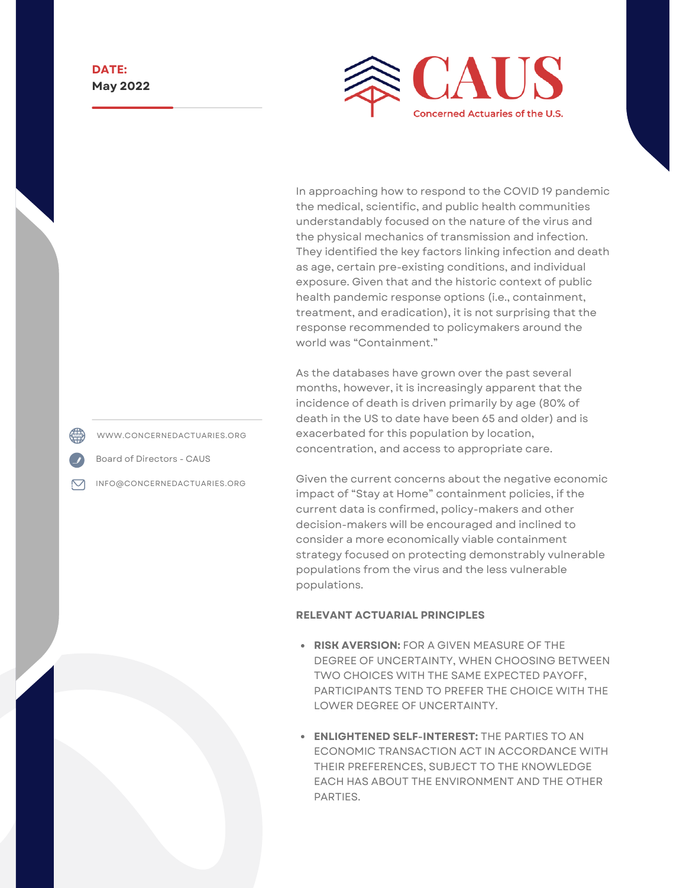

In approaching how to respond to the COVID 19 pandemic the medical, scientific, and public health communities understandably focused on the nature of the virus and the physical mechanics of transmission and infection. They identified the key factors linking infection and death as age, certain pre-existing conditions, and individual exposure. Given that and the historic context of public health pandemic response options (i.e., containment, treatment, and eradication), it is not surprising that the response recommended to policymakers around the world was "Containment."

As the databases have grown over the past several months, however, it is increasingly apparent that the incidence of death is driven primarily by age (80% of death in the US to date have been 65 and older) and is exacerbated for this population by location, concentration, and access to appropriate care.

Given the current concerns about the negative economic impact of "Stay at Home" containment policies, if the current data is confirmed, policy-makers and other decision-makers will be encouraged and inclined to consider a more economically viable containment strategy focused on protecting demonstrably vulnerable populations from the virus and the less vulnerable populations.

#### **RELEVANT ACTUARIAL PRINCIPLES**

- **RISK AVERSION:** FOR A GIVEN MEASURE OF THE DEGREE OF UNCERTAINTY, WHEN CHOOSING BETWEEN TWO CHOICES WITH THE SAME EXPECTED PAYOFF, PARTICIPANTS TEND TO PREFER THE CHOICE WITH THE LOWER DEGREE OF UNCERTAINTY.
- **ENLIGHTENED SELF-INTEREST:** THE PARTIES TO AN ECONOMIC TRANSACTION ACT IN ACCORDANCE WITH THEIR PREFERENCES, SUBJECT TO THE KNOWLEDGE EACH HAS ABOUT THE ENVIRONMENT AND THE OTHER PARTIES.

WWW.CONCERNEDACTUARIES.ORG

Board of Directors - CAUS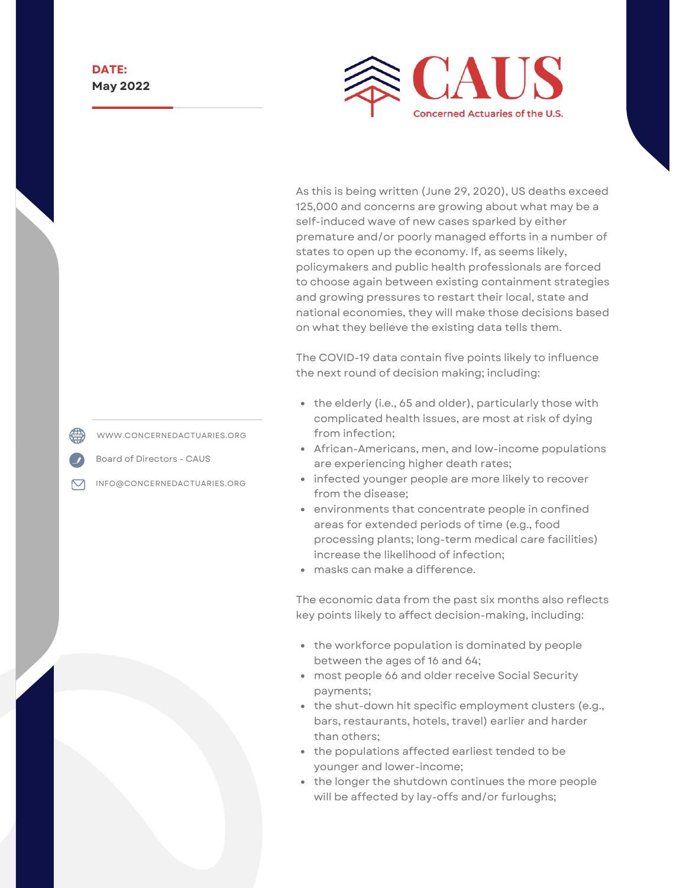

As this is being written (June 29, 2020), US deaths exceed 125,000 and concerns are growing about what may be a self-induced wave of new cases sparked by either premature and/or poorly managed efforts in a number of states to open up the economy. If, as seems likely, policymakers and public health professionals are forced to choose again between existing containment strategies and growing pressures to restart their local, state and national economies, they will make those decisions based on what they believe the existing data tells them.

The COVID-19 data contain five points likely to influence the next round of decision making; including:

- the elderly (i.e., 65 and older), particularly those with complicated health issues, are most at risk of dying from infection;
- African-Americans, men, and low-income populations are experiencing higher death rates;
- infected younger people are more likely to recover from the disease;
- environments that concentrate people in confined areas for extended periods of time (e.g., food processing plants; long-term medical care facilities) increase the likelihood of infection;
- masks can make a difference.

The economic data from the past six months also reflects key points likely to affect decision-making, including:

- the workforce population is dominated by people between the ages of 16 and 64;
- most people 66 and older receive Social Security payments;
- the shut-down hit specific employment clusters (e.g., bars, restaurants, hotels, travel) earlier and harder than others;
- the populations affected earliest tended to be younger and lower-income;
- the longer the shutdown continues the more people will be affected by lay-offs and/or furloughs;

WWW.CONCERNEDACTUARIES.ORG

Board of Directors - CAUS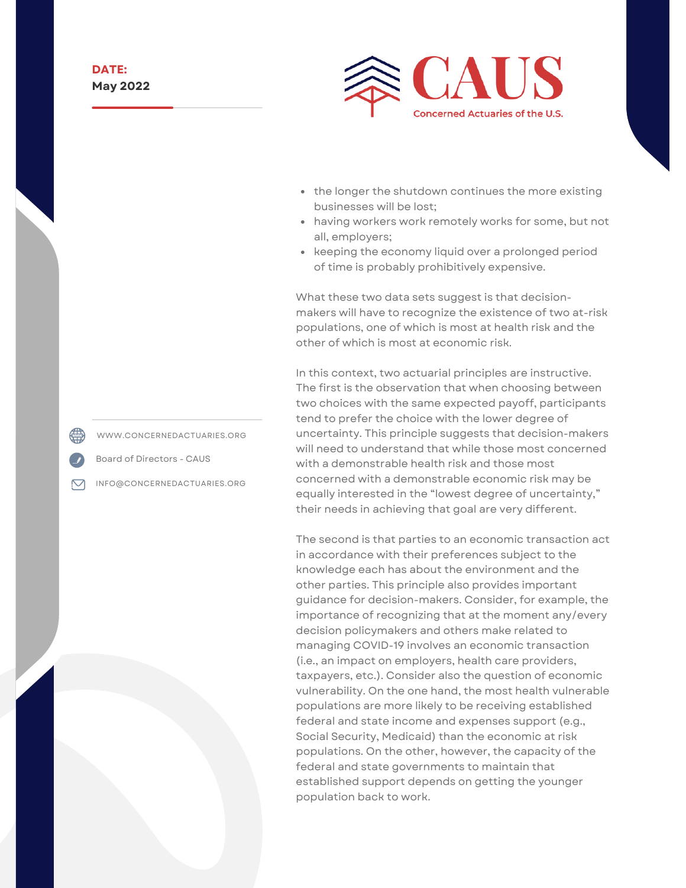

- the longer the shutdown continues the more existing businesses will be lost;
- having workers work remotely works for some, but not all, employers;
- keeping the economy liquid over a prolonged period of time is probably prohibitively expensive.

What these two data sets suggest is that decisionmakers will have to recognize the existence of two at-risk populations, one of which is most at health risk and the other of which is most at economic risk.

In this context, two actuarial principles are instructive. The first is the observation that when choosing between two choices with the same expected payoff, participants tend to prefer the choice with the lower degree of uncertainty. This principle suggests that decision-makers will need to understand that while those most concerned with a demonstrable health risk and those most concerned with a demonstrable economic risk may be equally interested in the "lowest degree of uncertainty," their needs in achieving that goal are very different.

The second is that parties to an economic transaction act in accordance with their preferences subject to the knowledge each has about the environment and the other parties. This principle also provides important guidance for decision-makers. Consider, for example, the importance of recognizing that at the moment any/every decision policymakers and others make related to managing COVID-19 involves an economic transaction (i.e., an impact on employers, health care providers, taxpayers, etc.). Consider also the question of economic vulnerability. On the one hand, the most health vulnerable populations are more likely to be receiving established federal and state income and expenses support (e.g., Social Security, Medicaid) than the economic at risk populations. On the other, however, the capacity of the federal and state governments to maintain that established support depends on getting the younger population back to work.

WWW.CONCERNEDACTUARIES.ORG

Board of Directors - CAUS